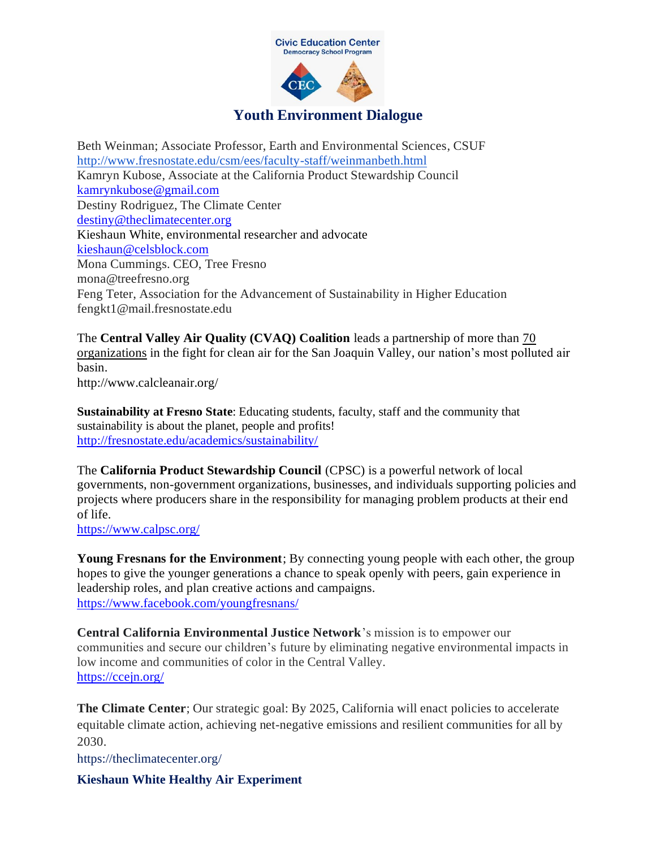

Beth Weinman; Associate Professor, Earth and Environmental Sciences, CSUF <http://www.fresnostate.edu/csm/ees/faculty-staff/weinmanbeth.html> Kamryn Kubose, Associate at the California Product Stewardship Council [kamrynkubose@gmail.com](mailto:kamrynkubose@gmail.com) Destiny Rodriguez, The Climate Center [destiny@theclimatecenter.org](mailto:destiny@theclimatecenter.org) Kieshaun White, environmental researcher and advocate [kieshaun@celsblock.com](mailto:kieshaun@celsblock.com) Mona Cummings. CEO, Tree Fresno mona@treefresno.org Feng Teter, Association for the Advancement of Sustainability in Higher Education fengkt1@mail.fresnostate.edu

The **Central Valley Air Quality (CVAQ) Coalition** leads a partnership of more than [70](http://www.calcleanair.org/coalition-members/)  [organizations](http://www.calcleanair.org/coalition-members/) in the fight for clean air for the San Joaquin Valley, our nation's most polluted air basin.

http://www.calcleanair.org/

**Sustainability at Fresno State**: Educating students, faculty, staff and the community that sustainability is about the planet, people and profits! <http://fresnostate.edu/academics/sustainability/>

The **California Product Stewardship Council** (CPSC) is a powerful network of local governments, non-government organizations, businesses, and individuals supporting policies and projects where producers share in the responsibility for managing problem products at their end of life.

<https://www.calpsc.org/>

**Young Fresnans for the Environment**; By connecting young people with each other, the group hopes to give the younger generations a chance to speak openly with peers, gain experience in leadership roles, and plan creative actions and campaigns. <https://www.facebook.com/youngfresnans/>

**Central California Environmental Justice Network**'s mission is to empower our communities and secure our children's future by eliminating negative environmental impacts in low income and communities of color in the Central Valley. <https://ccejn.org/>

**The Climate Center**; Our strategic goal: By 2025, California will enact policies to accelerate equitable climate action, achieving net-negative emissions and resilient communities for all by 2030.

https://theclimatecenter.org/

**Kieshaun White Healthy Air Experiment**